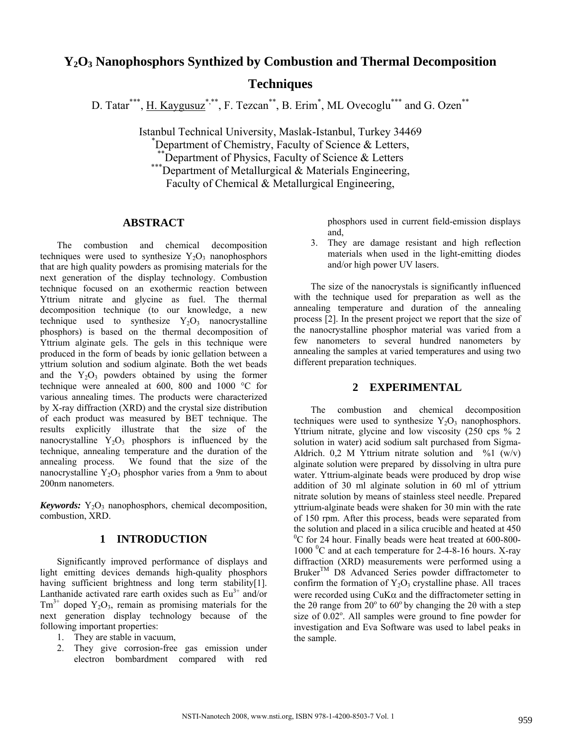# **Y2O3 Nanophosphors Synthized by Combustion and Thermal Decomposition Techniques**

D. Tatar\*\*\*, H. Kaygusuz\*\*\*, F. Tezcan\*\*, B. Erim<sup>\*</sup>, ML Ovecoglu<sup>\*\*\*</sup> and G. Ozen<sup>\*\*</sup>

Istanbul Technical University, Maslak-Istanbul, Turkey 34469 \* Department of Chemistry, Faculty of Science & Letters,<br>
<sup>\*\*</sup>Department of Physics, Faculty of Science & Letters \*\*\*Department of Metallurgical & Materials Engineering, Faculty of Chemical & Metallurgical Engineering,

## **ABSTRACT**

The combustion and chemical decomposition techniques were used to synthesize  $Y_2O_3$  nanophosphors that are high quality powders as promising materials for the next generation of the display technology. Combustion technique focused on an exothermic reaction between Yttrium nitrate and glycine as fuel. The thermal decomposition technique (to our knowledge, a new technique used to synthesize  $Y_2O_3$  nanocrystalline phosphors) is based on the thermal decomposition of Yttrium alginate gels. The gels in this technique were produced in the form of beads by ionic gellation between a yttrium solution and sodium alginate. Both the wet beads and the  $Y_2O_3$  powders obtained by using the former technique were annealed at 600, 800 and 1000 °C for various annealing times. The products were characterized by X-ray diffraction (XRD) and the crystal size distribution of each product was measured by BET technique. The results explicitly illustrate that the size of the nanocrystalline  $Y_2O_3$  phosphors is influenced by the technique, annealing temperature and the duration of the annealing process. We found that the size of the nanocrystalline  $Y_2O_3$  phosphor varies from a 9nm to about 200nm nanometers.

*Keywords:*  $Y_2O_3$  nanophosphors, chemical decomposition, combustion, XRD.

## **1 INTRODUCTION**

Significantly improved performance of displays and light emitting devices demands high-quality phosphors having sufficient brightness and long term stability[1]. Lanthanide activated rare earth oxides such as  $Eu^{3+}$  and/or  $Tm^{3+}$  doped  $Y_2O_3$ , remain as promising materials for the next generation display technology because of the following important properties:

- 1. They are stable in vacuum,
- 2. They give corrosion-free gas emission under electron bombardment compared with red

phosphors used in current field-emission displays and,

3. They are damage resistant and high reflection materials when used in the light-emitting diodes and/or high power UV lasers.

The size of the nanocrystals is significantly influenced with the technique used for preparation as well as the annealing temperature and duration of the annealing process [2]. In the present project we report that the size of the nanocrystalline phosphor material was varied from a few nanometers to several hundred nanometers by annealing the samples at varied temperatures and using two different preparation techniques.

### **2 EXPERIMENTAL**

The combustion and chemical decomposition techniques were used to synthesize  $Y_2O_3$  nanophosphors. Yttrium nitrate, glycine and low viscosity (250 cps % 2 solution in water) acid sodium salt purchased from Sigma-Aldrich. 0,2 M Yttrium nitrate solution and  $\%1$  (w/v) alginate solution were prepared by dissolving in ultra pure water. Yttrium-alginate beads were produced by drop wise addition of 30 ml alginate solution in 60 ml of yttrium nitrate solution by means of stainless steel needle. Prepared yttrium-alginate beads were shaken for 30 min with the rate of 150 rpm. After this process, beads were separated from the solution and placed in a silica crucible and heated at 450 <sup>0</sup>C for 24 hour. Finally beads were heat treated at 600-800-1000 °C and at each temperature for 2-4-8-16 hours. X-ray diffraction (XRD) measurements were performed using a Bruker<sup>TM</sup> D8 Advanced Series powder diffractometer to confirm the formation of  $Y_2O_3$  crystalline phase. All traces were recorded using  $CuK\alpha$  and the diffractometer setting in the 20 range from  $20^{\circ}$  to  $60^{\circ}$  by changing the 20 with a step size of  $0.02^{\circ}$ . All samples were ground to fine powder for investigation and Eva Software was used to label peaks in the sample.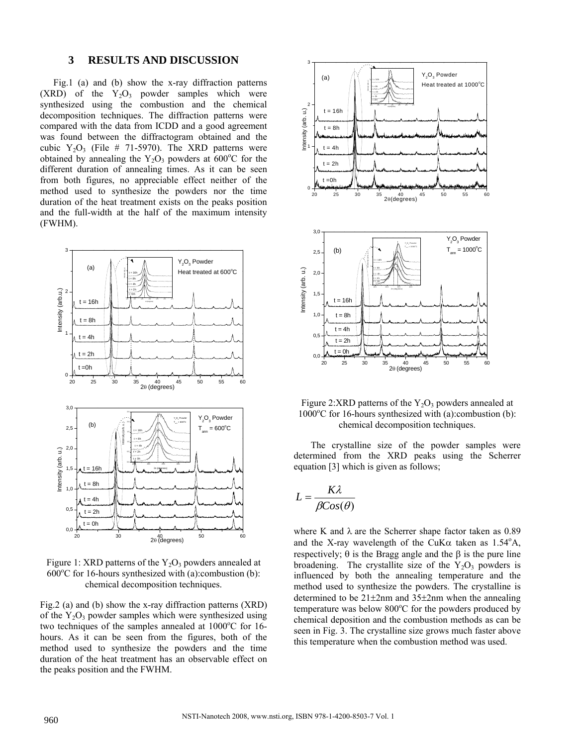#### **3 RESULTS AND DISCUSSION**

Fig.1 (a) and (b) show the x-ray diffraction patterns  $(XRD)$  of the  $Y_2O_3$  powder samples which were synthesized using the combustion and the chemical decomposition techniques. The diffraction patterns were compared with the data from ICDD and a good agreement was found between the diffractogram obtained and the cubic  $Y_2O_3$  (File # 71-5970). The XRD patterns were obtained by annealing the  $Y_2O_3$  powders at 600°C for the different duration of annealing times. As it can be seen from both figures, no appreciable effect neither of the method used to synthesize the powders nor the time duration of the heat treatment exists on the peaks position and the full-width at the half of the maximum intensity (FWHM).



Figure 1: XRD patterns of the  $Y_2O_3$  powders annealed at  $600^{\circ}$ C for 16-hours synthesized with (a):combustion (b): chemical decomposition techniques.

Fig.2 (a) and (b) show the x-ray diffraction patterns (XRD) of the  $Y_2O_3$  powder samples which were synthesized using two techniques of the samples annealed at  $1000^{\circ}$ C for 16hours. As it can be seen from the figures, both of the method used to synthesize the powders and the time duration of the heat treatment has an observable effect on the peaks position and the FWHM.



Figure 2:XRD patterns of the  $Y_2O_3$  powders annealed at 1000°C for 16-hours synthesized with (a):combustion (b): chemical decomposition techniques.

The crystalline size of the powder samples were determined from the XRD peaks using the Scherrer equation [3] which is given as follows;

$$
L = \frac{K\lambda}{\beta Cos(\theta)}
$$

where K and  $\lambda$  are the Scherrer shape factor taken as 0.89 and the X-ray wavelength of the CuK $\alpha$  taken as 1.54°A, respectively;  $θ$  is the Bragg angle and the  $β$  is the pure line broadening. The crystallite size of the  $Y_2O_3$  powders is influenced by both the annealing temperature and the method used to synthesize the powders. The crystalline is determined to be 21±2nm and 35±2nm when the annealing temperature was below  $800^{\circ}$ C for the powders produced by chemical deposition and the combustion methods as can be seen in Fig. 3. The crystalline size grows much faster above this temperature when the combustion method was used.